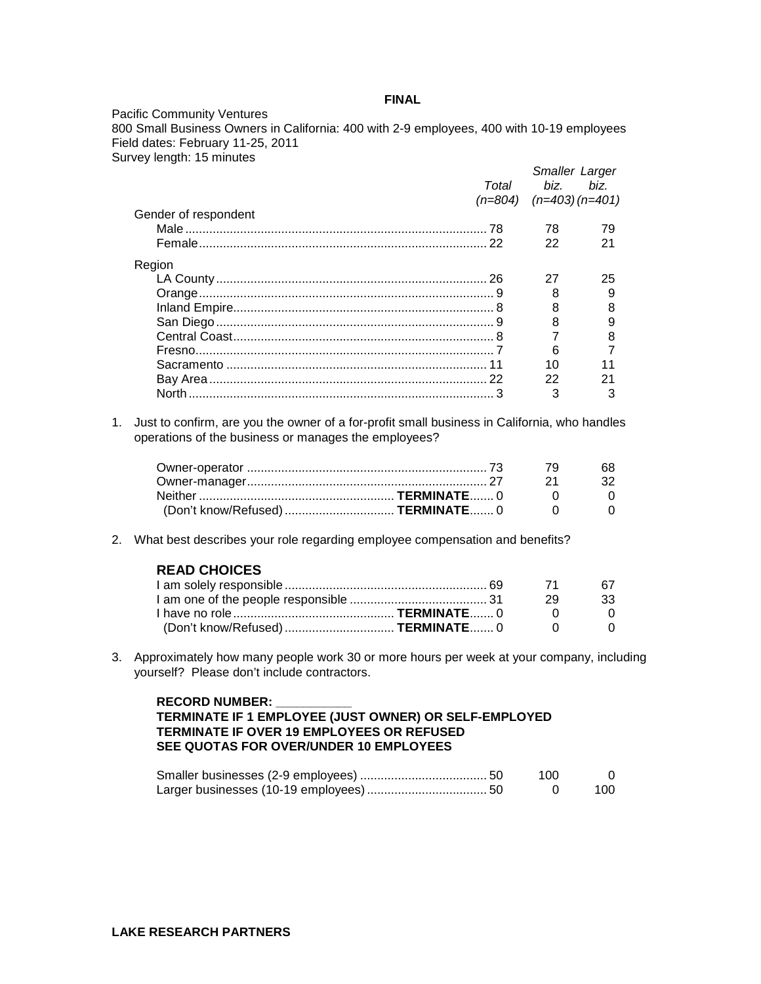## **FINAL**

Pacific Community Ventures 800 Small Business Owners in California: 400 with 2-9 employees, 400 with 10-19 employees Field dates: February 11-25, 2011 Survey length: 15 minutes

| Total                | hiz.                          | <b>Smaller Larger</b><br>hiz. |
|----------------------|-------------------------------|-------------------------------|
|                      |                               |                               |
|                      | $(n=804)$ $(n=403)$ $(n=401)$ |                               |
| Gender of respondent |                               |                               |
|                      | 78                            | 79                            |
|                      | 22                            | 21                            |
| Region               |                               |                               |
|                      | 27                            | 25                            |
|                      | 8                             | 9                             |
|                      | 8                             |                               |
|                      | 8                             |                               |
|                      |                               |                               |
|                      | 6                             |                               |
|                      | 10                            |                               |
|                      | 22                            |                               |
|                      | 3                             |                               |

1. Just to confirm, are you the owner of a for-profit small business in California, who handles operations of the business or manages the employees?

|                                     | - 79 | 68.       |
|-------------------------------------|------|-----------|
|                                     |      | - 21 - 32 |
|                                     |      |           |
| (Don't know/Refused)  TERMINATE 0 0 |      |           |

2. What best describes your role regarding employee compensation and benefits?

|  | <b>READ CHOICES</b> |
|--|---------------------|
|--|---------------------|

|                                     | - 71 | 67.          |
|-------------------------------------|------|--------------|
|                                     |      | - 33         |
|                                     |      | $\mathbf{U}$ |
| (Don't know/Refused)  TERMINATE 0 0 |      |              |

3. Approximately how many people work 30 or more hours per week at your company, including yourself? Please don't include contractors.

#### **RECORD NUMBER: \_\_\_\_\_\_\_\_\_\_\_**

# **TERMINATE IF 1 EMPLOYEE (JUST OWNER) OR SELF-EMPLOYED TERMINATE IF OVER 19 EMPLOYEES OR REFUSED SEE QUOTAS FOR OVER/UNDER 10 EMPLOYEES**

|  | 100 |     |
|--|-----|-----|
|  |     | 100 |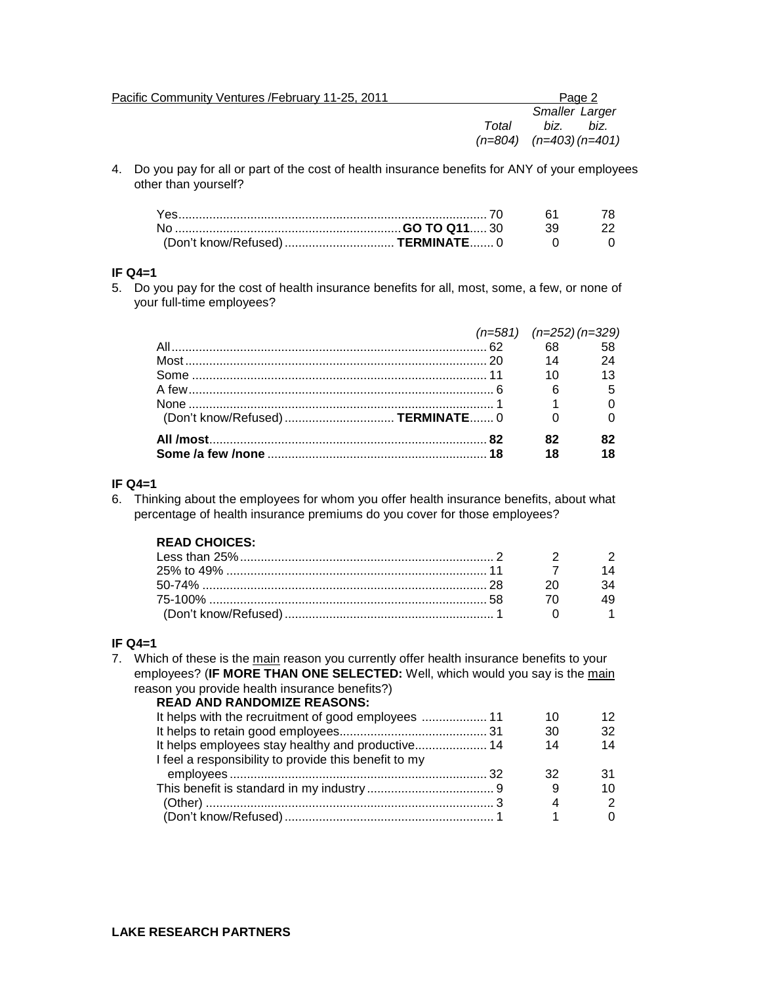| Pacific Community Ventures / February 11-25, 2011 |       | Page 2                     |  |
|---------------------------------------------------|-------|----------------------------|--|
|                                                   |       | <b>Smaller Larger</b>      |  |
|                                                   | Total | biz.<br>biz.               |  |
|                                                   |       | $(n=804)$ $(n=403)(n=401)$ |  |

4. Do you pay for all or part of the cost of health insurance benefits for ANY of your employees other than yourself?

#### **IF Q4=1**

5. Do you pay for the cost of health insurance benefits for all, most, some, a few, or none of your full-time employees?

|                                   | $(n=581)$ $(n=252)(n=329)$ |  |
|-----------------------------------|----------------------------|--|
|                                   | 68 58                      |  |
|                                   |                            |  |
|                                   |                            |  |
|                                   |                            |  |
|                                   |                            |  |
| (Don't know/Refused)  TERMINATE 0 |                            |  |
|                                   |                            |  |
|                                   | 18                         |  |

#### **IF Q4=1**

6. Thinking about the employees for whom you offer health insurance benefits, about what percentage of health insurance premiums do you cover for those employees?

# **READ CHOICES:**

| 75-100% ……………………………………………………………………… 58 |  |
|----------------------------------------|--|
|                                        |  |

# **IF Q4=1**

7. Which of these is the main reason you currently offer health insurance benefits to your employees? (**IF MORE THAN ONE SELECTED:** Well, which would you say is the main reason you provide health insurance benefits?)

| <b>READ AND RANDOMIZE REASONS:</b>                    |    |               |
|-------------------------------------------------------|----|---------------|
|                                                       | 10 | 12            |
|                                                       | 30 | 32            |
|                                                       | 14 | 14            |
| I feel a responsibility to provide this benefit to my |    |               |
|                                                       | 32 |               |
|                                                       |    | 10            |
|                                                       | 4  | $\mathcal{P}$ |
|                                                       |    |               |
|                                                       |    |               |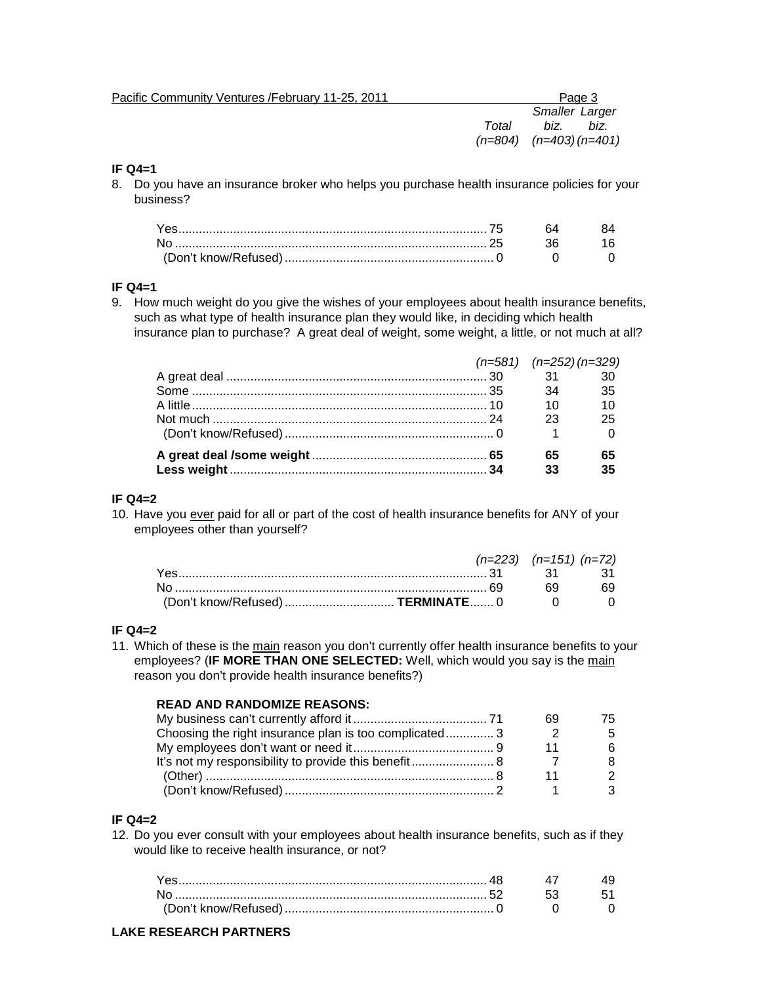| Pacific Community Ventures / February 11-25, 2011 |       |                               | Page 3 |
|---------------------------------------------------|-------|-------------------------------|--------|
|                                                   |       | <b>Smaller Larger</b>         |        |
|                                                   | Total | biz.                          | biz.   |
|                                                   |       | $(n=804)$ $(n=403)$ $(n=401)$ |        |
|                                                   |       |                               |        |

## **IF Q4=1**

8. Do you have an insurance broker who helps you purchase health insurance policies for your business?

| Yes. |  |
|------|--|
|      |  |
|      |  |

## **IF Q4=1**

9. How much weight do you give the wishes of your employees about health insurance benefits, such as what type of health insurance plan they would like, in deciding which health insurance plan to purchase? A great deal of weight, some weight, a little, or not much at all?

|  |  | $(n=581)$ $(n=252)$ $(n=329)$ |    |
|--|--|-------------------------------|----|
|  |  |                               |    |
|  |  | 34                            | 35 |
|  |  | 10                            | 10 |
|  |  | 23                            | 25 |
|  |  |                               |    |
|  |  | 65                            | 65 |
|  |  |                               | 35 |

## **IF Q4=2**

10. Have you ever paid for all or part of the cost of health insurance benefits for ANY of your employees other than yourself?

|                                     | $(n=223)$ $(n=151)$ $(n=72)$ |     |
|-------------------------------------|------------------------------|-----|
|                                     |                              |     |
|                                     | 69.                          | 69. |
| (Don't know/Refused)  TERMINATE 0 0 |                              |     |

#### **IF Q4=2**

11. Which of these is the main reason you don't currently offer health insurance benefits to your employees? (**IF MORE THAN ONE SELECTED:** Well, which would you say is the main reason you don't provide health insurance benefits?)

# **READ AND RANDOMIZE REASONS:**

| Choosing the right insurance plan is too complicated3 |  |
|-------------------------------------------------------|--|
|                                                       |  |
| It's not my responsibility to provide this benefit 8  |  |
|                                                       |  |
|                                                       |  |

# **IF Q4=2**

12. Do you ever consult with your employees about health insurance benefits, such as if they would like to receive health insurance, or not?

| No. | 53. |  |
|-----|-----|--|
|     |     |  |

# **LAKE RESEARCH PARTNERS**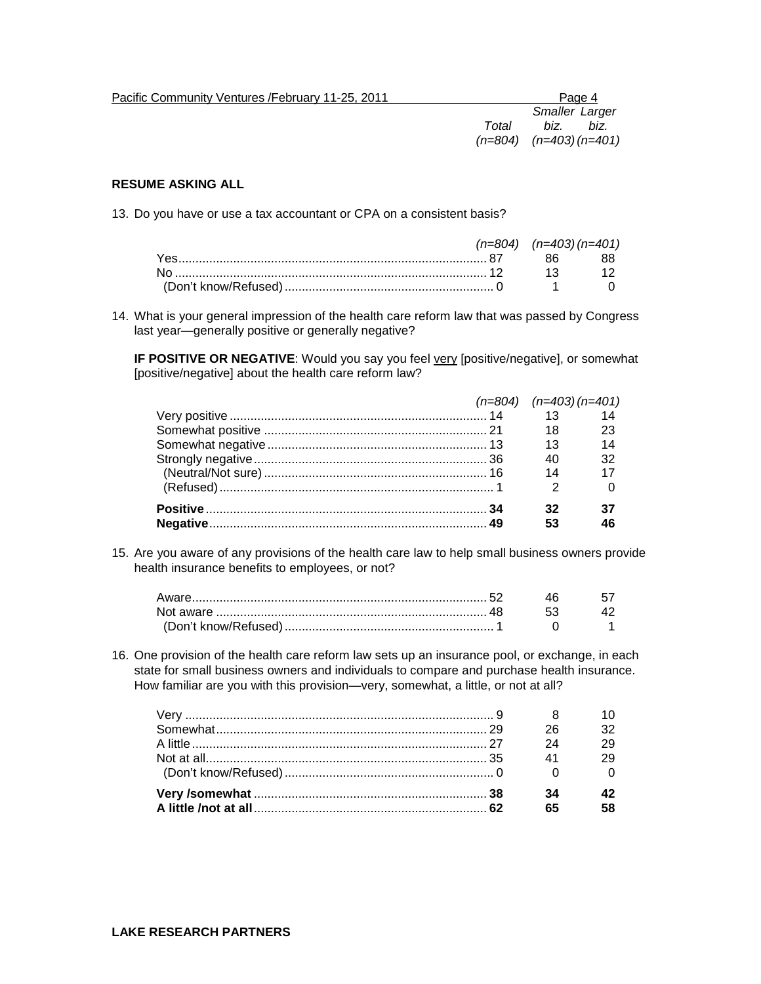| Pacific Community Ventures / February 11-25, 2011 |                            |                       | Page 4 |
|---------------------------------------------------|----------------------------|-----------------------|--------|
|                                                   |                            | <b>Smaller Larger</b> |        |
|                                                   | Total                      | biz.                  | biz.   |
|                                                   | $(n=804)$ $(n=403)(n=401)$ |                       |        |

# **RESUME ASKING ALL**

13. Do you have or use a tax accountant or CPA on a consistent basis?

|  | $(n=804)$ $(n=403)(n=401)$ |  |
|--|----------------------------|--|
|  |                            |  |
|  |                            |  |
|  |                            |  |

14. What is your general impression of the health care reform law that was passed by Congress last year—generally positive or generally negative?

**IF POSITIVE OR NEGATIVE:** Would you say you feel very [positive/negative], or somewhat [positive/negative] about the health care reform law?

|  | $(n=804)$ $(n=403)$ $(n=401)$ |                 |
|--|-------------------------------|-----------------|
|  | 13 14                         |                 |
|  | 18                            | 23              |
|  | 13                            | - 14            |
|  | 40                            | 32              |
|  | 14                            | $\overline{17}$ |
|  |                               |                 |
|  |                               |                 |
|  | 53                            |                 |

15. Are you aware of any provisions of the health care law to help small business owners provide health insurance benefits to employees, or not?

16. One provision of the health care reform law sets up an insurance pool, or exchange, in each state for small business owners and individuals to compare and purchase health insurance. How familiar are you with this provision—very, somewhat, a little, or not at all?

|  | 26 |  |
|--|----|--|
|  | 24 |  |
|  | 41 |  |
|  |    |  |
|  | 34 |  |
|  |    |  |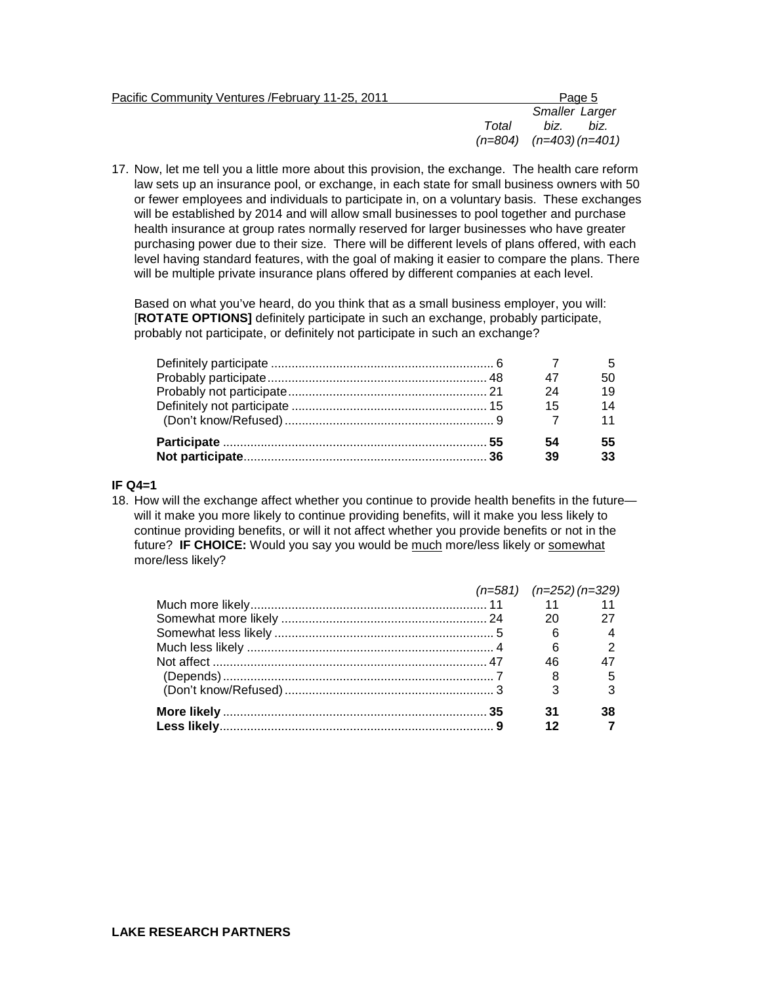|       | Page 5                     |
|-------|----------------------------|
|       | <b>Smaller Larger</b>      |
| Total | biz.<br>biz.               |
|       | $(n=804)$ $(n=403)(n=401)$ |
|       |                            |

17. Now, let me tell you a little more about this provision, the exchange. The health care reform law sets up an insurance pool, or exchange, in each state for small business owners with 50 or fewer employees and individuals to participate in, on a voluntary basis. These exchanges will be established by 2014 and will allow small businesses to pool together and purchase health insurance at group rates normally reserved for larger businesses who have greater purchasing power due to their size. There will be different levels of plans offered, with each level having standard features, with the goal of making it easier to compare the plans. There will be multiple private insurance plans offered by different companies at each level.

Based on what you've heard, do you think that as a small business employer, you will: [**ROTATE OPTIONS]** definitely participate in such an exchange, probably participate, probably not participate, or definitely not participate in such an exchange?

|  | 24  |    |
|--|-----|----|
|  | -15 | 14 |
|  |     |    |
|  | 54  |    |
|  | 39  |    |

## **IF Q4=1**

18. How will the exchange affect whether you continue to provide health benefits in the future will it make you more likely to continue providing benefits, will it make you less likely to continue providing benefits, or will it not affect whether you provide benefits or not in the future? **IF CHOICE:** Would you say you would be much more/less likely or somewhat more/less likely?

|  | $(n=581)$ $(n=252)$ $(n=329)$ |  |
|--|-------------------------------|--|
|  | 11 11                         |  |
|  |                               |  |
|  |                               |  |
|  | 6                             |  |
|  |                               |  |
|  |                               |  |
|  |                               |  |
|  |                               |  |
|  |                               |  |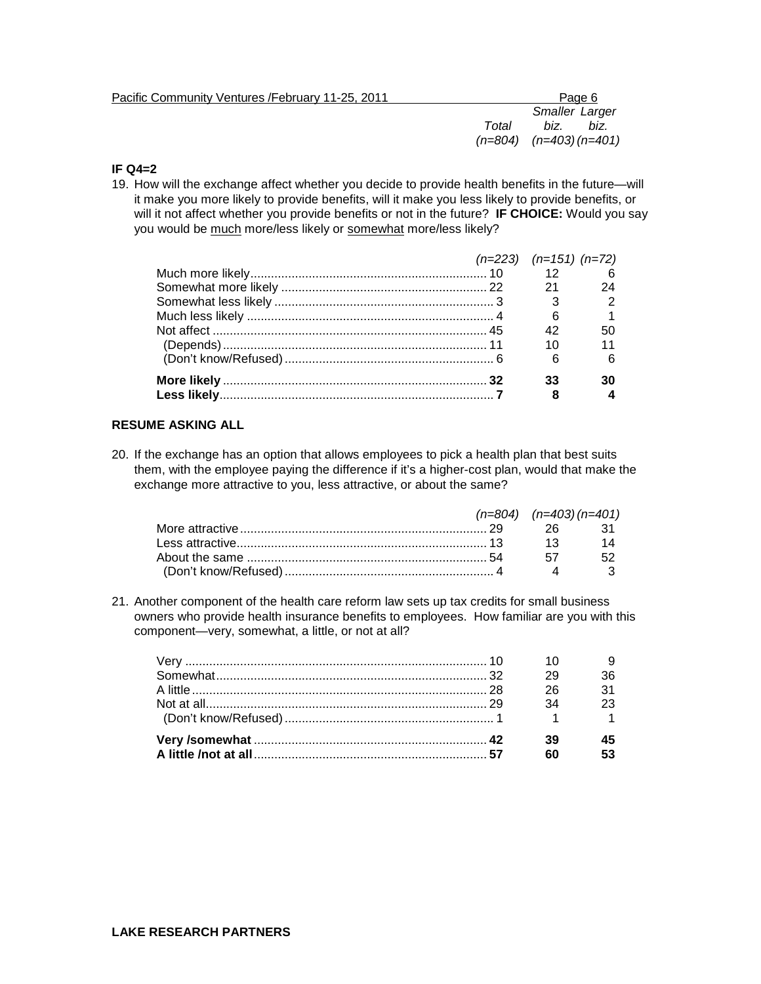| Pacific Community Ventures / February 11-25, 2011 |       | Page 6                        |
|---------------------------------------------------|-------|-------------------------------|
|                                                   |       | <b>Smaller Larger</b>         |
|                                                   | Total | biz.<br>biz.                  |
|                                                   |       | $(n=804)$ $(n=403)$ $(n=401)$ |
|                                                   |       |                               |

## **IF Q4=2**

19. How will the exchange affect whether you decide to provide health benefits in the future—will it make you more likely to provide benefits, will it make you less likely to provide benefits, or will it not affect whether you provide benefits or not in the future? **IF CHOICE:** Would you say you would be much more/less likely or somewhat more/less likely?

|  | $(n=223)$ $(n=151)$ $(n=72)$ |    |
|--|------------------------------|----|
|  | $12 \qquad 6$                |    |
|  | 21                           | 24 |
|  |                              |    |
|  | 6                            |    |
|  |                              |    |
|  |                              |    |
|  | 6                            |    |
|  |                              |    |
|  |                              |    |

# **RESUME ASKING ALL**

20. If the exchange has an option that allows employees to pick a health plan that best suits them, with the employee paying the difference if it's a higher-cost plan, would that make the exchange more attractive to you, less attractive, or about the same?

|  | $(n=804)$ $(n=403)(n=401)$ |                 |
|--|----------------------------|-----------------|
|  |                            |                 |
|  | $\overline{\mathbf{13}}$   | $\overline{14}$ |
|  | -57                        | - 52            |
|  |                            |                 |

21. Another component of the health care reform law sets up tax credits for small business owners who provide health insurance benefits to employees. How familiar are you with this component—very, somewhat, a little, or not at all?

|  |      | 36              |
|--|------|-----------------|
|  | - 26 | 31              |
|  | 34   | $\overline{23}$ |
|  |      |                 |
|  | -39  |                 |
|  |      |                 |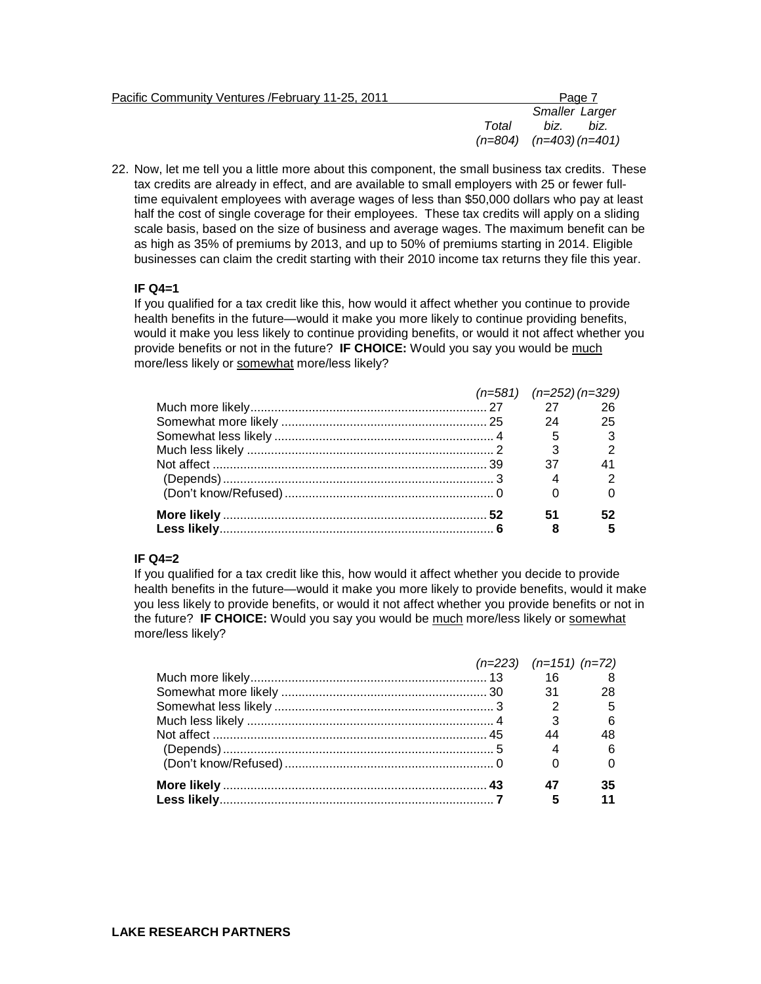| Pacific Community Ventures / February 11-25, 2011 |       | Page 7                        |
|---------------------------------------------------|-------|-------------------------------|
|                                                   |       | <b>Smaller Larger</b>         |
|                                                   | Total | biz.<br>biz.                  |
|                                                   |       | $(n=804)$ $(n=403)$ $(n=401)$ |

22. Now, let me tell you a little more about this component, the small business tax credits. These tax credits are already in effect, and are available to small employers with 25 or fewer fulltime equivalent employees with average wages of less than \$50,000 dollars who pay at least half the cost of single coverage for their employees. These tax credits will apply on a sliding scale basis, based on the size of business and average wages. The maximum benefit can be as high as 35% of premiums by 2013, and up to 50% of premiums starting in 2014. Eligible businesses can claim the credit starting with their 2010 income tax returns they file this year.

## **IF Q4=1**

If you qualified for a tax credit like this, how would it affect whether you continue to provide health benefits in the future—would it make you more likely to continue providing benefits, would it make you less likely to continue providing benefits, or would it not affect whether you provide benefits or not in the future? **IF CHOICE:** Would you say you would be much more/less likely or somewhat more/less likely?

|  | $(n=581)$ $(n=252)$ $(n=329)$ |    |
|--|-------------------------------|----|
|  |                               |    |
|  | 24                            | 25 |
|  |                               |    |
|  |                               |    |
|  | 37                            |    |
|  |                               |    |
|  |                               |    |
|  | 51                            |    |
|  |                               |    |

### **IF Q4=2**

If you qualified for a tax credit like this, how would it affect whether you decide to provide health benefits in the future—would it make you more likely to provide benefits, would it make you less likely to provide benefits, or would it not affect whether you provide benefits or not in the future? **IF CHOICE:** Would you say you would be much more/less likely or somewhat more/less likely?

|  | $(n=223)$ $(n=151)$ $(n=72)$ |  |
|--|------------------------------|--|
|  |                              |  |
|  | 31                           |  |
|  |                              |  |
|  |                              |  |
|  |                              |  |
|  |                              |  |
|  |                              |  |
|  |                              |  |
|  |                              |  |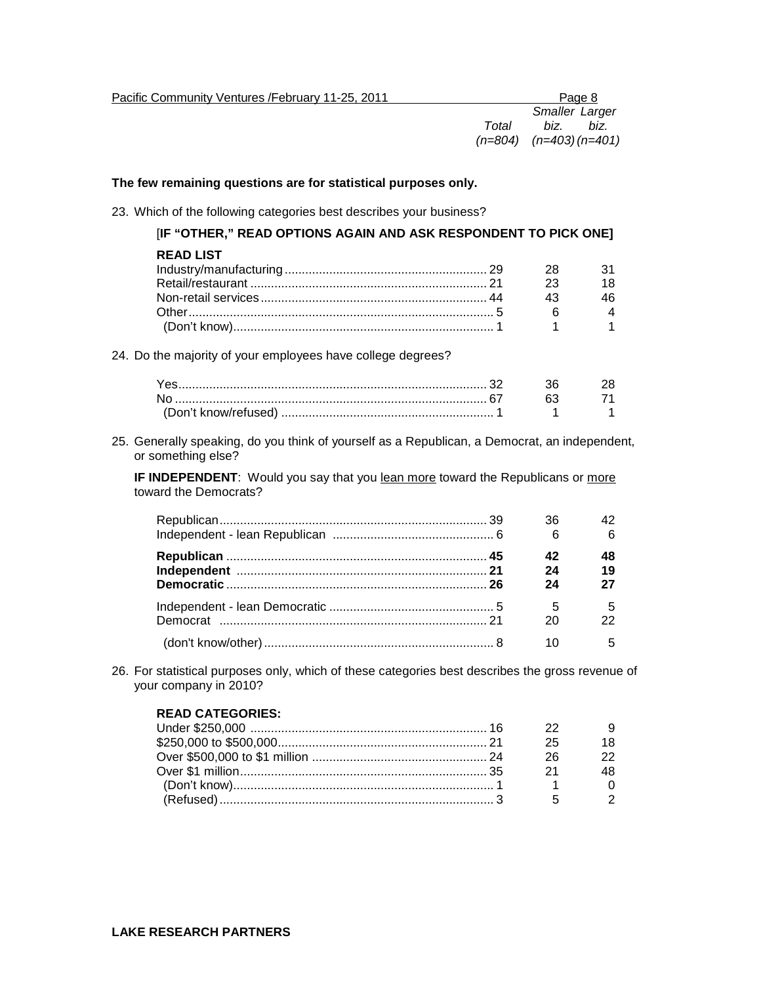| Pacific Community Ventures /February 11-25, 2011 |       |                               | Page 8 |
|--------------------------------------------------|-------|-------------------------------|--------|
|                                                  |       | <b>Smaller Larger</b>         |        |
|                                                  | Total | biz.                          | biz.   |
|                                                  |       | $(n=804)$ $(n=403)$ $(n=401)$ |        |
|                                                  |       |                               |        |

## **The few remaining questions are for statistical purposes only.**

23. Which of the following categories best describes your business?

| [IF "OTHER," READ OPTIONS AGAIN AND ASK RESPONDENT TO PICK ONE] |    |    |
|-----------------------------------------------------------------|----|----|
| <b>READ LIST</b>                                                |    |    |
|                                                                 | 28 | 31 |
|                                                                 | 23 | 18 |
|                                                                 | 43 | 46 |
|                                                                 | 6  |    |
|                                                                 |    |    |
| 24. Do the majority of your employees have college degrees?     |    |    |
|                                                                 | 36 | 28 |
| N٥.                                                             | 63 |    |
|                                                                 |    |    |

25. Generally speaking, do you think of yourself as a Republican, a Democrat, an independent, or something else?

**IF INDEPENDENT:** Would you say that you lean more toward the Republicans or more toward the Democrats?

|  | 36 |     |
|--|----|-----|
|  | 6  |     |
|  |    | 48  |
|  | 24 | 19  |
|  | 24 | 27  |
|  | 5  | - 5 |
|  | 20 |     |
|  |    | 5   |

26. For statistical purposes only, which of these categories best describes the gross revenue of your company in 2010?

### **READ CATEGORIES:**

| 27 |  |
|----|--|
| 25 |  |
| 26 |  |
| 21 |  |
|    |  |
|    |  |